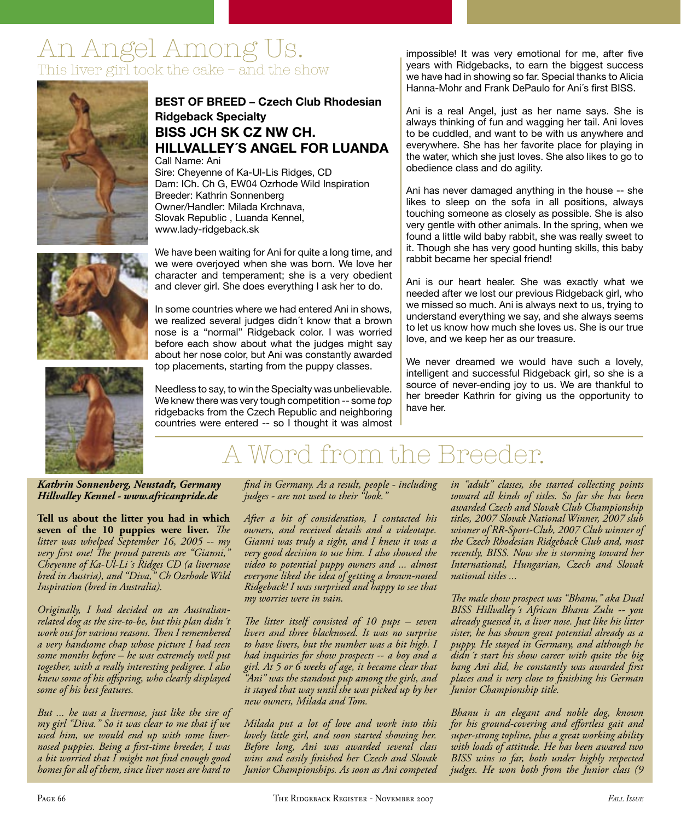# An Angel Among Us. This liver girl took the cake – and the show



# **BEST OF BREED – Czech Club Rhodesian Ridgeback Specialty BISS JCH SK CZ NW CH. HILLVALLEY´S ANGEL FOR LUANDA**

Call Name: Ani Sire: Cheyenne of Ka-Ul-Lis Ridges, CD Dam: ICh. Ch G, EW04 Ozrhode Wild Inspiration Breeder: Kathrin Sonnenberg Owner/Handler: Milada Krchnava, Slovak Republic , Luanda Kennel, www.lady-ridgeback.sk

We have been waiting for Ani for quite a long time, and we were overjoyed when she was born. We love her character and temperament; she is a very obedient and clever girl. She does everything I ask her to do.

In some countries where we had entered Ani in shows, we realized several judges didn´t know that a brown nose is a "normal" Ridgeback color. I was worried before each show about what the judges might say about her nose color, but Ani was constantly awarded top placements, starting from the puppy classes.

Needless to say, to win the Specialty was unbelievable. We knew there was very tough competition -- some *top* ridgebacks from the Czech Republic and neighboring countries were entered -- so I thought it was almost impossible! It was very emotional for me, after five years with Ridgebacks, to earn the biggest success we have had in showing so far. Special thanks to Alicia Hanna-Mohr and Frank DePaulo for Ani's first BISS.

Ani is a real Angel, just as her name says. She is always thinking of fun and wagging her tail. Ani loves to be cuddled, and want to be with us anywhere and everywhere. She has her favorite place for playing in the water, which she just loves. She also likes to go to obedience class and do agility.

Ani has never damaged anything in the house -- she likes to sleep on the sofa in all positions, always touching someone as closely as possible. She is also very gentle with other animals. In the spring, when we found a little wild baby rabbit, she was really sweet to it. Though she has very good hunting skills, this baby rabbit became her special friend!

Ani is our heart healer. She was exactly what we needed after we lost our previous Ridgeback girl, who we missed so much. Ani is always next to us, trying to understand everything we say, and she always seems to let us know how much she loves us. She is our true love, and we keep her as our treasure.

We never dreamed we would have such a lovely, intelligent and successful Ridgeback girl, so she is a source of never-ending joy to us. We are thankful to her breeder Kathrin for giving us the opportunity to have her.



# A Word from the Breeder.

# *Kathrin Sonnenberg, Neustadt, Germany Hillvalley Kennel - www.africanpride.de*

**Tell us about the litter you had in which seven of the 10 puppies were liver.** The *litter was whelped September 16, 2005 -- my very fi rst one! Th e proud parents are "Gianni," Cheyenne of Ka-Ul-Li´s Ridges CD (a livernose bred in Austria), and "Diva," Ch Ozrhode Wild Inspiration (bred in Australia).*

*Originally, I had decided on an Australianrelated dog as the sire-to-be, but this plan didn´t work out for various reasons. Then I remembered a very handsome chap whose picture I had seen some months before – he was extremely well put together, with a really interesting pedigree. I also knew some of his off spring, who clearly displayed some of his best features.*

*But ... he was a livernose, just like the sire of my girl "Diva." So it was clear to me that if we used him, we would end up with some livernosed puppies. Being a fi rst-time breeder, I was a bit worried that I might not fi nd enough good homes for all of them, since liver noses are hard to* 

*fi nd in Germany. As a result, people - including judges - are not used to their "look."* 

*After a bit of consideration, I contacted his owners, and received details and a videotape. Gianni was truly a sight, and I knew it was a very good decision to use him. I also showed the video to potential puppy owners and ... almost everyone liked the idea of getting a brown-nosed Ridgeback! I was surprised and happy to see that my worries were in vain.* 

*The litter itself consisted of 10 pups – seven livers and three blacknosed. It was no surprise to have livers, but the number was a bit high. I had inquiries for show prospects -- a boy and a girl. At 5 or 6 weeks of age, it became clear that "Ani" was the standout pup among the girls, and it stayed that way until she was picked up by her new owners, Milada and Tom.*

*Milada put a lot of love and work into this lovely little girl, and soon started showing her. Before long, Ani was awarded several class wins and easily fi nished her Czech and Slovak Junior Championships. As soon as Ani competed*  *in "adult" classes, she started collecting points toward all kinds of titles. So far she has been awarded Czech and Slovak Club Championship titles, 2007 Slovak National Winner, 2007 slub winner of RR-Sport-Club, 2007 Club winner of the Czech Rhodesian Ridgeback Club and, most recently, BISS. Now she is storming toward her International, Hungarian, Czech and Slovak national titles ...*

*Th e male show prospect was "Bhanu," aka Dual BISS Hillvalley´s African Bhanu Zulu -- you already guessed it, a liver nose. Just like his litter sister, he has shown great potential already as a puppy. He stayed in Germany, and although he didn´t start his show career with quite the big*  bang Ani did, he constantly was awarded first *places and is very close to finishing his German Junior Championship title.* 

*Bhanu is an elegant and noble dog, known*  for his ground-covering and effortless gait and *super-strong topline, plus a great working ability with loads of attitude. He has been awared two BISS wins so far, both under highly respected judges. He won both from the Junior class (9* 

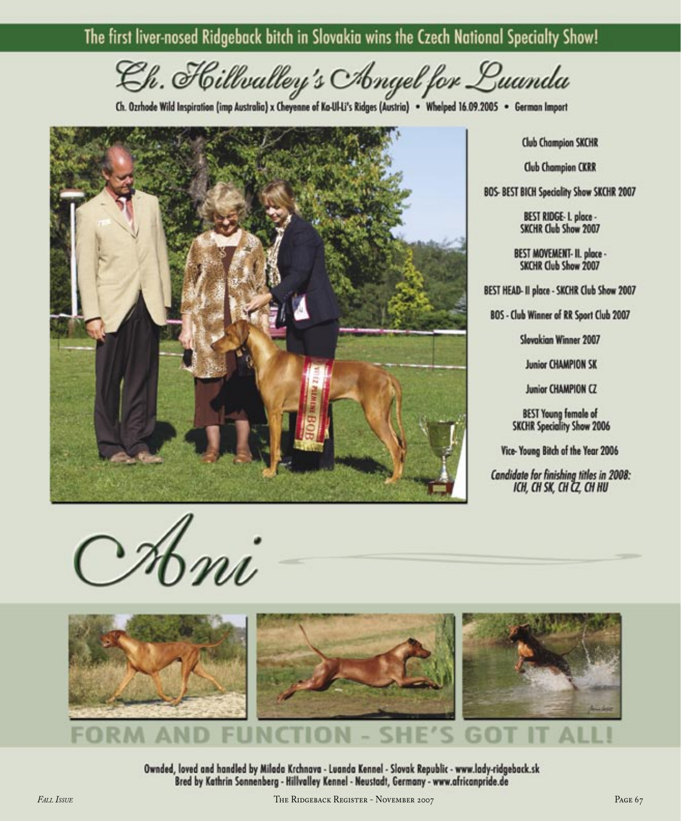# The first liver-nosed Ridgeback bitch in Slovakia wins the Czech National Specialty Show!

Ch. Hillvalley's Angel for Luanda

Ch. Ozrhode Wild Inspiration (imp Australia) x Cheyenne of Ko-Ul-Li's Ridges (Austria) . Whelped 16.09.2005 . German Import



Ahni



Ownded, loved and handled by Milada Krchnava - Luanda Kennel - Slovak Republic - www.lady-ridgeback.sk Bred by Kathrin Sonnenberg - Hillvalley Kennel - Neustadt, Germany - www.africanpride.de

**Club Champion SKCHR** 

**Club Champion CKRR** 

BOS- BEST BICH Speciality Show SKCHR 2007

BEST RIDGE- I. place -SKCHR Club Show 2007

BEST MOVEMENT- II. place -SKCHR Club Show 2007

BEST HEAD- II place - SKCHR Club Show 2007

BOS - Club Winner of RR Sport Club 2007

Slovakian Winner 2007

**Junior CHAMPION SK** 

Junior CHAMPION CZ

**BEST Young female of SKCHR Speciality Show 2006** 

Vice-Young Bitch of the Year 2006

Candidate for finishing titles in 2008: ICH, CH SK, CH CZ, CH HU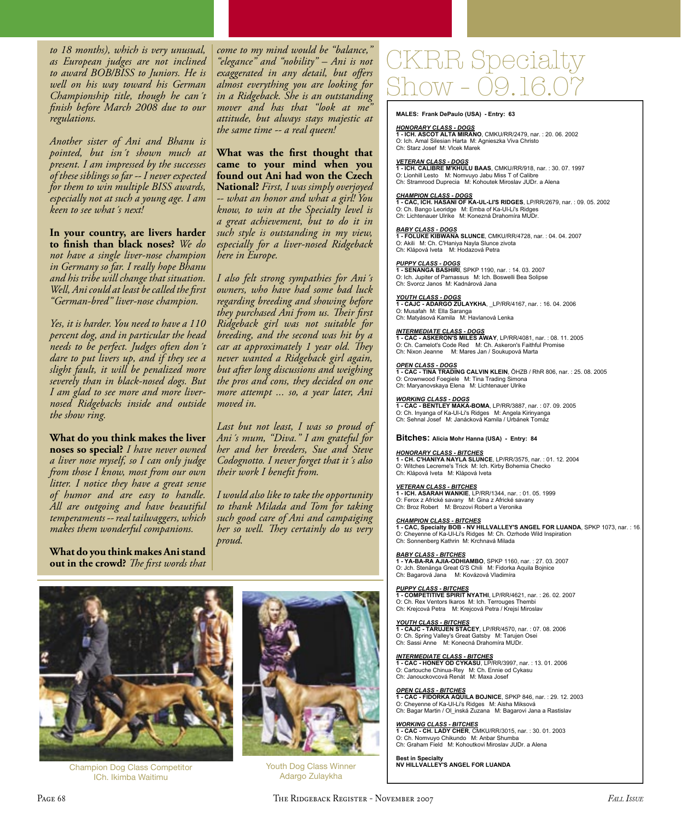to 18 months), which is very unusual, as European judges are not inclined to award BOB/BISS to Juniors. He is well on his way toward his German Championship title, though he can't finish before March 2008 due to our regulations.

Another sister of Ani and Bhanu is pointed, but isn't shown much at present. I am impressed by the successes of these siblings so far -- I never expected for them to win multiple BISS awards, especially not at such a young age. I am keen to see what's next!

In your country, are livers harder to finish than black noses? We do not have a single liver-nose champion in Germany so far. I really hope Bhanu and his tribe will change that situation. Well, Ani could at least be called the first "German-bred" liver-nose champion.

Yes, it is harder. You need to have a 110 percent dog, and in particular the head needs to be perfect. Judges often don't dare to put livers up, and if they see a slight fault, it will be penalized more severely than in black-nosed dogs. But I am glad to see more and more livernosed Ridgebacks inside and outside the show ring.

What do you think makes the liver noses so special? I have never owned a liver nose myself, so I can only judge from those I know, most from our own litter. I notice they have a great sense of humor and are easy to handle. All are outgoing and have beautiful temperaments -- real tailwaggers, which makes them wonderful companions.

What do you think makes Ani stand out in the crowd? The first words that come to my mind would be "balance," "elegance" and "nobility" - Ani is not exaggerated in any detail, but offers almost everything you are looking for in a Ridgeback. She is an outstanding mover and has that "look at me attitude, but always stays majestic at the same time -- a real queen!

What was the first thought that came to your mind when you found out Ani had won the Czech National? First, I was simply overjoyed -- what an honor and what a girl! You know, to win at the Specialty level is a great achievement, but to do it in such style is outstanding in my view, especially for a liver-nosed Ridgeback here in Europe.

I also felt strong sympathies for Ani's owners, who have had some bad luck regarding breeding and showing before they purchased Ani from us. Their first Ridgeback girl was not suitable for breeding, and the second was hit by a car at approximately 1 year old. They never wanted a Ridgeback girl again, but after long discussions and weighing the pros and cons, they decided on one more attempt ... so, a year later, Ani moved in.

Last but not least, I was so proud of Ani's mum, "Diva." I am grateful for her and her breeders, Sue and Steve Codognotto. I never forget that it's also their work I benefit from.

I would also like to take the opportunity to thank Milada and Tom for taking such good care of Ani and campaiging her so well. They certainly do us very proud.



**Champion Dog Class Competitor** ICh. Ikimba Waitimu



Youth Dog Class Winner Adargo Zulaykha

# CKRR Specialty

MALES: Frank DePaulo (USA) - Entry: 63

HONORARY CLASS - DOGS<br>1 - ICH. ASCOT ALTA MIRANO, CMKU/RR/2479, nar. : 20. 06. 2002<br>O: Ich. Amal Silesian Harta M: Agnieszka Viva Christo Ch: Starz Josef M: Vicek Marek

<u>VETERAN CLASS - DOGS</u><br>1 **- ICH. CALIBRE M'KHULU BAAS**, CMKU/RR/918, nar. : 30. 07. 1997 O: Lionhill Lesto M: Nomvuyo Jabu Miss T of Calibre Ch: Stramrood Duprecia M: Kohoutek Miroslay JUDr. a Alena

CHAMPION CLASS - DOGS<br>1 - CAC, ICH. HASANI OF KA-UL-LI'S RIDGES, LP/RR/2679, nar. : 09. 05. 2002 O: Ch. Bango Leoridge M: Emba of Ka-Ul-Li's Ridges<br>Ch: Lichtenauer Ulrike M: Konezná Drahomíra MUDr

BABY CLASS - DOGS<br>1 - FOLUKE KIBWANA SLUNCE, CMKU/RR/4728, nar. : 04. 04. 2007 O: Akili M: Ch. C'Haniya Nayla Slunce zivota<br>Ch: Klápová Iveta M: Hodazová Petra

*PUPPY CLASS - DOGS*<br>1 - **SENANGA BASHIRI**, SPKP 1190, nar. : 14. 03. 2007 O: Ich. Jupiter of Parnassus M: Ich. Boswelli Bea Solipse Ch: Svorcz Janos M: Kadnárová Jana

YOUTH CLASS - DOGS<br>1 - CAJC - ADARGO ZULAYKHA, \_LP/RR/4167, nar. : 16. 04. 2006 O: Musafah M: Ella Saranga<br>Ch: Matyásová Kamila M: Havlanová Lenka

# **INTERMEDIATE CLASS - DOGS**

**INCORRET DE CONSTRUES AWAY, LP/RR/4081, nar. : 08. 11. 2005<br>1 - CAC - ASKERON'S MILES AWAY, LP/RR/4081, nar. : 08. 11. 2005**<br>Ch: Nixon Jeanne M: Mares Jan / Soukupová Marta<br>Ch: Nixon Jeanne M: Mares Jan / Soukupová Marta

# <mark>OPEN CLASS - DOGS</mark><br>1 **- CAC - TINA TRADING CALVIN KLEIN**, ÖHZB / RhR 806, nar. : 25. 08. 2005 O: Crownwood Foegiele M: Tina Trading Simona Ch: Maryanovskaya Elena M: Lichtenauer Ulrike

WORKING CLASS - DOGS<br>1 - CAC - BENTLEY MAKA-BOMA, LP/RR/3887, nar. : 07. 09. 2005 C. Ch. Inyanga of Ka-Ul-Li's Ridges M: Angela Kirinyanga<br>Ch: Sehnal Josef M: Janácková Kamila / Urbánek Tomáz

# Bitches: Alicia Mohr Hanna (USA) - Entry: 84

HONORARY CLASS - BITCHES<br>1 - CH. C'HANIYA NAYLA SLUNCE, LP/RR/3575, nar. : 01. 12. 2004 O: Witches Lecreme's Trick M: Ich. Kirby Bohemia Checko Ch: Klápová Iveta M: Klápová Iveta

<u>VETERAN CLASS - BITCHES</u><br>1 - ICH. ASARAH WANKIE, LP/RR/1344, nar. : 01. 05. 1999 O: Ferox z Africké savany M: Gina z Africké savany<br>Ch: Broz Robert M: Brozovi Robert a Veronika

# **CHAMPION CLASS - BITCHES**

1 - CAC, Specialty BOB - NV HILLVALLEY'S ANGEL FOR LUANDA, SPKP 1073, nar. : 16<br>O: Cheyenne of Ka-Ul-Li's Ridges M: Ch. Ozrhode Wild Inspiration Ch: Sonnenberg Kathrin M: Krchnavá Milada

BABY CLASS - BITCHES<br>1 - YA-BA-RA AJIA-ODHIAMBO, SPKP 1160, nar. : 27. 03. 2007 O: Jch. Stenänga Great G'S Chili M: Fidorka Aquila Bojnice<br>Ch: Bagarová Jana M: Kovázová Vladimíra

PUPPY CLASS - BITCHES<br>1 - COMPETITIVE SPIRIT NYATHI, LP/RR/4621, nar. : 26. 02. 2007 O: Ch. Rex Ventors Ikaros M: Ich. Terrouges Thembi Ch: Krejcová Petra M: Krejcová Petra / Krejsí Miroslav

YOUTH CLASS - BITCHES<br>1 - CAJC - TARUJEN STACEY, LP/RR/4570, nar. : 07. 08. 2006 O: Ch. Spring Valley's Great Gatsby M: Tarujen Osei<br>Ch: Sassi Anne M: Konecná Drahomíra MUDr.

**INTERMEDIATE CLASS - BITCHES**<br>1 - CAC - HONEY OD CYKASU, LP/RR/3997, nar.: 13. 01. 2006 O: Cartouche Chinua-Rey M: Ch. Ennie od Cykasu<br>Ch: Janouckovcová Renát M: Maxa Josef

# **OPEN CLASS - BITCHES**

**STET SERVING BOON SERVICE**, SPKP 846, nar. : 29. 12. 2003<br>1 - CAC - FIDORKA AQUILA BOJNICE, SPKP 846, nar. : 29. 12. 2003<br>O: Cheyenne of Ka-Ul-Li's Ridges M: Aisha Miksová Ch: Bagar Martin / Ol\_inská Zuzana M: Bagarovi Jana a Rastislav

WORKING CLASS - BITCHES<br>1 - CAC - CH. LADY CHER, CMKU/RR/3015, nar. : 30. 01. 2003 O: Ch. Nomvuyo Chikundo M: Anbar Shumba<br>Ch: Graham Field M: Kohoutkovi Miroslav JUDr. a Alena

Best in Specialty<br>NV HILLVALLEY'S ANGEL FOR LUANDA